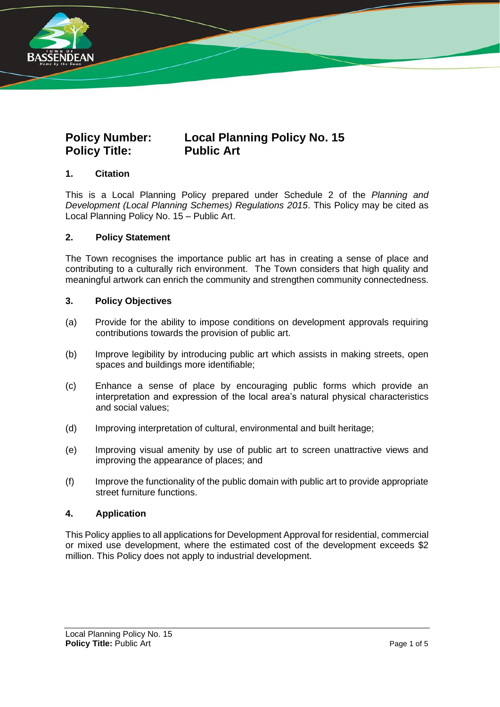

# **Policy Number: Local Planning Policy No. 15 Policy Title: Public Art**

# **1. Citation**

This is a Local Planning Policy prepared under Schedule 2 of the *Planning and Development (Local Planning Schemes) Regulations 2015*. This Policy may be cited as Local Planning Policy No. 15 – Public Art.

### **2. Policy Statement**

The Town recognises the importance public art has in creating a sense of place and contributing to a culturally rich environment. The Town considers that high quality and meaningful artwork can enrich the community and strengthen community connectedness.

#### **3. Policy Objectives**

- (a) Provide for the ability to impose conditions on development approvals requiring contributions towards the provision of public art.
- (b) Improve legibility by introducing public art which assists in making streets, open spaces and buildings more identifiable;
- (c) Enhance a sense of place by encouraging public forms which provide an interpretation and expression of the local area's natural physical characteristics and social values;
- (d) Improving interpretation of cultural, environmental and built heritage;
- (e) Improving visual amenity by use of public art to screen unattractive views and improving the appearance of places; and
- (f) Improve the functionality of the public domain with public art to provide appropriate street furniture functions.

### **4. Application**

This Policy applies to all applications for Development Approval for residential, commercial or mixed use development, where the estimated cost of the development exceeds \$2 million. This Policy does not apply to industrial development.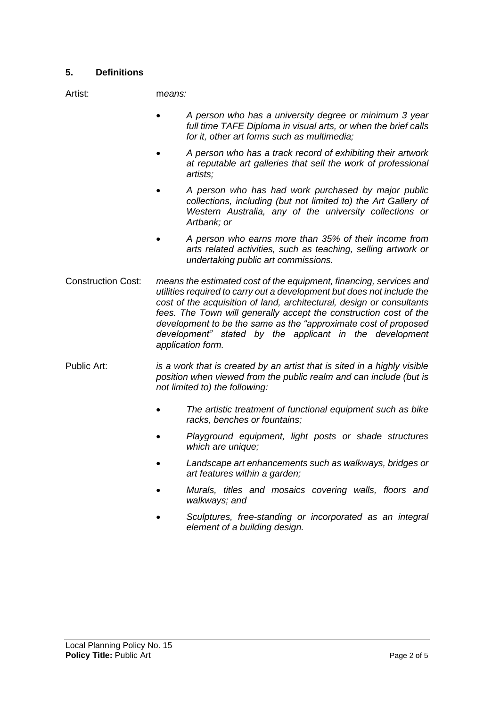# **5. Definitions**

Artist: m*eans:*

- *A person who has a university degree or minimum 3 year full time TAFE Diploma in visual arts, or when the brief calls for it, other art forms such as multimedia;*
- *A person who has a track record of exhibiting their artwork at reputable art galleries that sell the work of professional artists;*
- *A person who has had work purchased by major public collections, including (but not limited to) the Art Gallery of Western Australia, any of the university collections or Artbank; or*
- *A person who earns more than 35% of their income from arts related activities, such as teaching, selling artwork or undertaking public art commissions.*
- Construction Cost: *means the estimated cost of the equipment, financing, services and utilities required to carry out a development but does not include the cost of the acquisition of land, architectural, design or consultants fees. The Town will generally accept the construction cost of the development to be the same as the "approximate cost of proposed development" stated by the applicant in the development application form.*
- Public Art: *is a work that is created by an artist that is sited in a highly visible position when viewed from the public realm and can include (but is not limited to) the following:* 
	- *The artistic treatment of functional equipment such as bike racks, benches or fountains;*
	- *Playground equipment, light posts or shade structures which are unique;*
	- *Landscape art enhancements such as walkways, bridges or art features within a garden;*
	- *Murals, titles and mosaics covering walls, floors and walkways; and*
	- *Sculptures, free-standing or incorporated as an integral element of a building design.*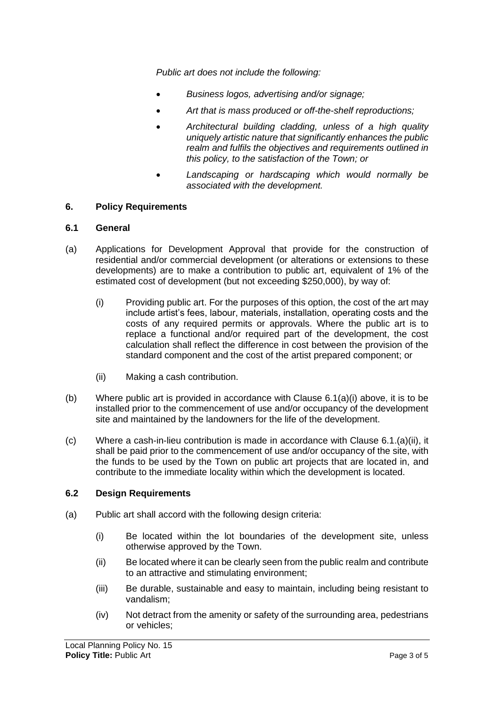*Public art does not include the following:* 

- *Business logos, advertising and/or signage;*
- *Art that is mass produced or off-the-shelf reproductions;*
- *Architectural building cladding, unless of a high quality uniquely artistic nature that significantly enhances the public realm and fulfils the objectives and requirements outlined in this policy, to the satisfaction of the Town; or*
- *Landscaping or hardscaping which would normally be associated with the development.*

### **6. Policy Requirements**

#### **6.1 General**

- (a) Applications for Development Approval that provide for the construction of residential and/or commercial development (or alterations or extensions to these developments) are to make a contribution to public art, equivalent of 1% of the estimated cost of development (but not exceeding \$250,000), by way of:
	- (i) Providing public art. For the purposes of this option, the cost of the art may include artist's fees, labour, materials, installation, operating costs and the costs of any required permits or approvals. Where the public art is to replace a functional and/or required part of the development, the cost calculation shall reflect the difference in cost between the provision of the standard component and the cost of the artist prepared component; or
	- (ii) Making a cash contribution.
- (b) Where public art is provided in accordance with Clause  $6.1(a)(i)$  above, it is to be installed prior to the commencement of use and/or occupancy of the development site and maintained by the landowners for the life of the development.
- $(c)$  Where a cash-in-lieu contribution is made in accordance with Clause 6.1.(a)(ii), it shall be paid prior to the commencement of use and/or occupancy of the site, with the funds to be used by the Town on public art projects that are located in, and contribute to the immediate locality within which the development is located.

### **6.2 Design Requirements**

- (a) Public art shall accord with the following design criteria:
	- (i) Be located within the lot boundaries of the development site, unless otherwise approved by the Town.
	- (ii) Be located where it can be clearly seen from the public realm and contribute to an attractive and stimulating environment;
	- (iii) Be durable, sustainable and easy to maintain, including being resistant to vandalism;
	- (iv) Not detract from the amenity or safety of the surrounding area, pedestrians or vehicles;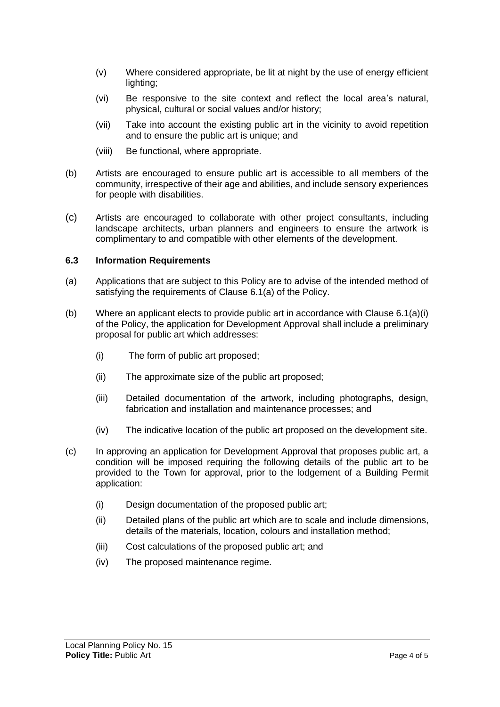- (v) Where considered appropriate, be lit at night by the use of energy efficient lighting;
- (vi) Be responsive to the site context and reflect the local area's natural, physical, cultural or social values and/or history;
- (vii) Take into account the existing public art in the vicinity to avoid repetition and to ensure the public art is unique; and
- (viii) Be functional, where appropriate.
- (b) Artists are encouraged to ensure public art is accessible to all members of the community, irrespective of their age and abilities, and include sensory experiences for people with disabilities.
- (c) Artists are encouraged to collaborate with other project consultants, including landscape architects, urban planners and engineers to ensure the artwork is complimentary to and compatible with other elements of the development.

#### **6.3 Information Requirements**

- (a) Applications that are subject to this Policy are to advise of the intended method of satisfying the requirements of Clause 6.1(a) of the Policy.
- (b) Where an applicant elects to provide public art in accordance with Clause  $6.1(a)(i)$ of the Policy, the application for Development Approval shall include a preliminary proposal for public art which addresses:
	- (i) The form of public art proposed;
	- (ii) The approximate size of the public art proposed;
	- (iii) Detailed documentation of the artwork, including photographs, design, fabrication and installation and maintenance processes; and
	- (iv) The indicative location of the public art proposed on the development site.
- (c) In approving an application for Development Approval that proposes public art, a condition will be imposed requiring the following details of the public art to be provided to the Town for approval, prior to the lodgement of a Building Permit application:
	- (i) Design documentation of the proposed public art;
	- (ii) Detailed plans of the public art which are to scale and include dimensions, details of the materials, location, colours and installation method;
	- (iii) Cost calculations of the proposed public art; and
	- (iv) The proposed maintenance regime.